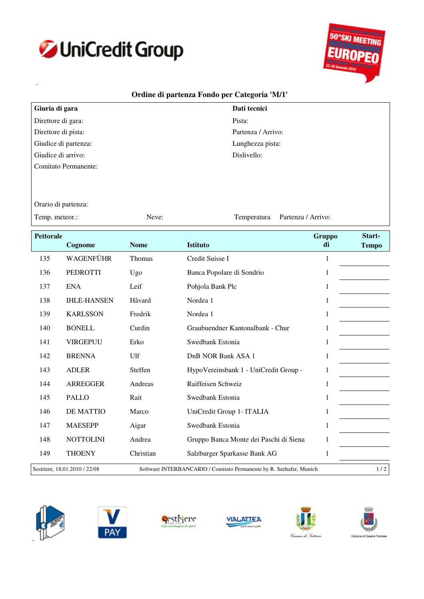



## **Ordine di partenza Fondo per Categoria 'M/1'**

| Giuria di gara       | Dati tecnici       |
|----------------------|--------------------|
| Direttore di gara:   | Pista:             |
| Direttore di pista:  | Partenza / Arrivo: |
| Giudice di partenza: | Lunghezza pista:   |
| Giudice di arrivo:   | Dislivello:        |
| Comitato Permanente: |                    |
|                      |                    |

Temperatura

Orario di partenza:

Temp. meteor.: Neve: Neve: Partenza / Arrivo:

**Pettorale Cognome Nome Istituto Gruppo di Tempo Start-**135 WAGENFÜHR Thomas Credit Suisse I 1 PEDROTTI Ugo Banca Popolare di Sondrio 1 ENA Leif Pohjola Bank Plc 1 IHLE-HANSEN Håvard Nordea 1 1 KARLSSON Fredrik Nordea 1 1 BONELL Curdin Graubuendner Kantonalbank - Chur 1 VIRGEPUU Erko Swedbank Estonia 1 142 BRENNA Ulf DnB NOR Bank ASA 1 1 ADLER Steffen HypoVereinsbank 1 - UniCredit Group - 1 ARREGGER Andreas Raiffeisen Schweiz 1 PALLO Rait Swedbank Estonia 1 DE MATTIO Marco UniCredit Group 1- ITALIA 1 MAESEPP Aigar Swedbank Estonia 1 NOTTOLINI Andrea Gruppo Banca Monte dei Paschi di Siena 1 THOENY Christian Salzburger Sparkasse Bank AG 1 Sestriere, 18.01.2010 / 22:08 Software INTERBANCARIO / Comitato Permanente by R. Seehafer, Munich 1 / 2